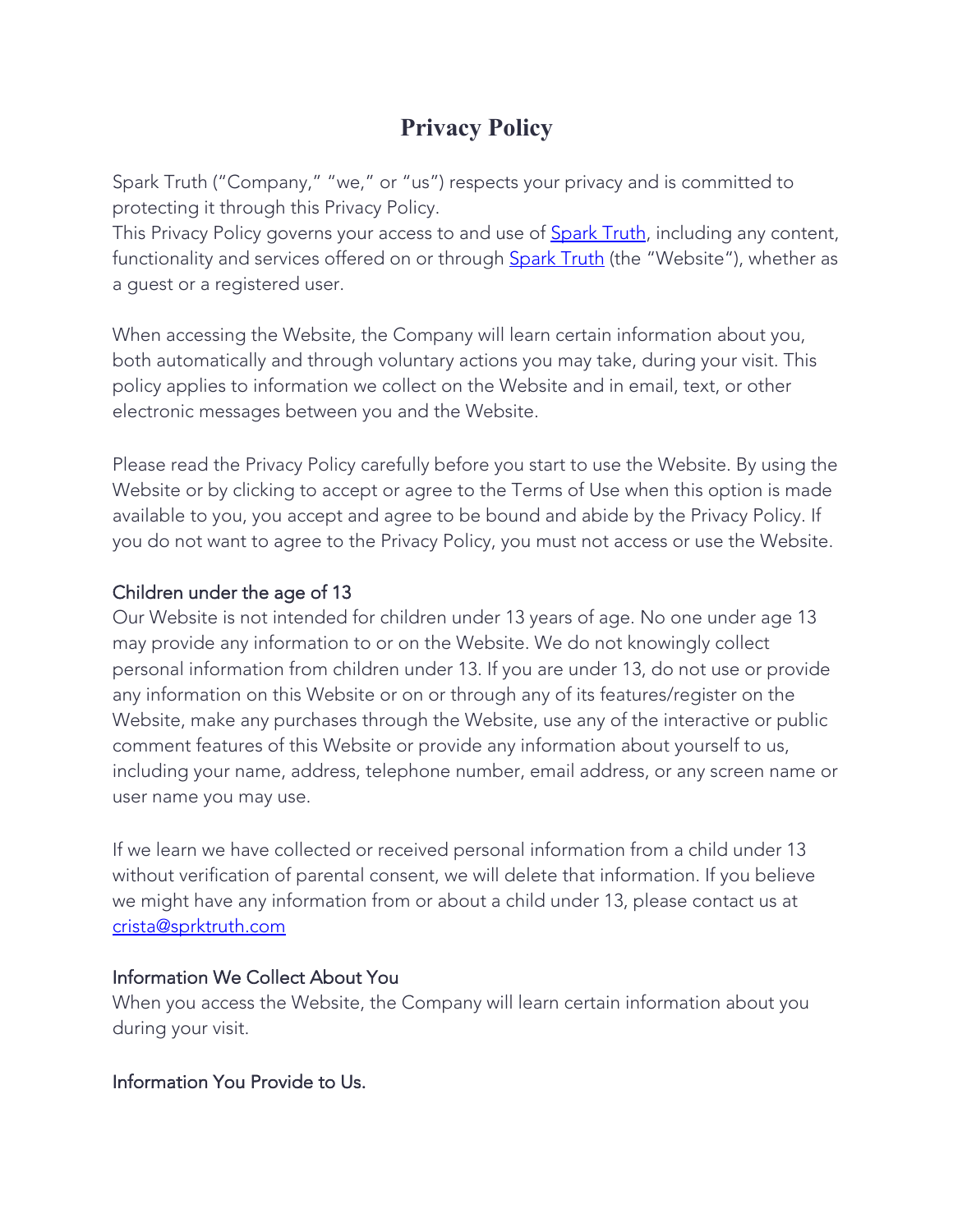# **Privacy Policy**

Spark Truth ("Company," "we," or "us") respects your privacy and is committed to protecting it through this Privacy Policy.

This Privacy Policy governs your access to and use of Spark Truth, including any content, functionality and services offered on or through **Spark Truth** (the "Website"), whether as a guest or a registered user.

When accessing the Website, the Company will learn certain information about you, both automatically and through voluntary actions you may take, during your visit. This policy applies to information we collect on the Website and in email, text, or other electronic messages between you and the Website.

Please read the Privacy Policy carefully before you start to use the Website. By using the Website or by clicking to accept or agree to the Terms of Use when this option is made available to you, you accept and agree to be bound and abide by the Privacy Policy. If you do not want to agree to the Privacy Policy, you must not access or use the Website.

# Children under the age of 13

Our Website is not intended for children under 13 years of age. No one under age 13 may provide any information to or on the Website. We do not knowingly collect personal information from children under 13. If you are under 13, do not use or provide any information on this Website or on or through any of its features/register on the Website, make any purchases through the Website, use any of the interactive or public comment features of this Website or provide any information about yourself to us, including your name, address, telephone number, email address, or any screen name or user name you may use.

If we learn we have collected or received personal information from a child under 13 without verification of parental consent, we will delete that information. If you believe we might have any information from or about a child under 13, please contact us at crista@sprktruth.com

#### Information We Collect About You

When you access the Website, the Company will learn certain information about you during your visit.

# Information You Provide to Us.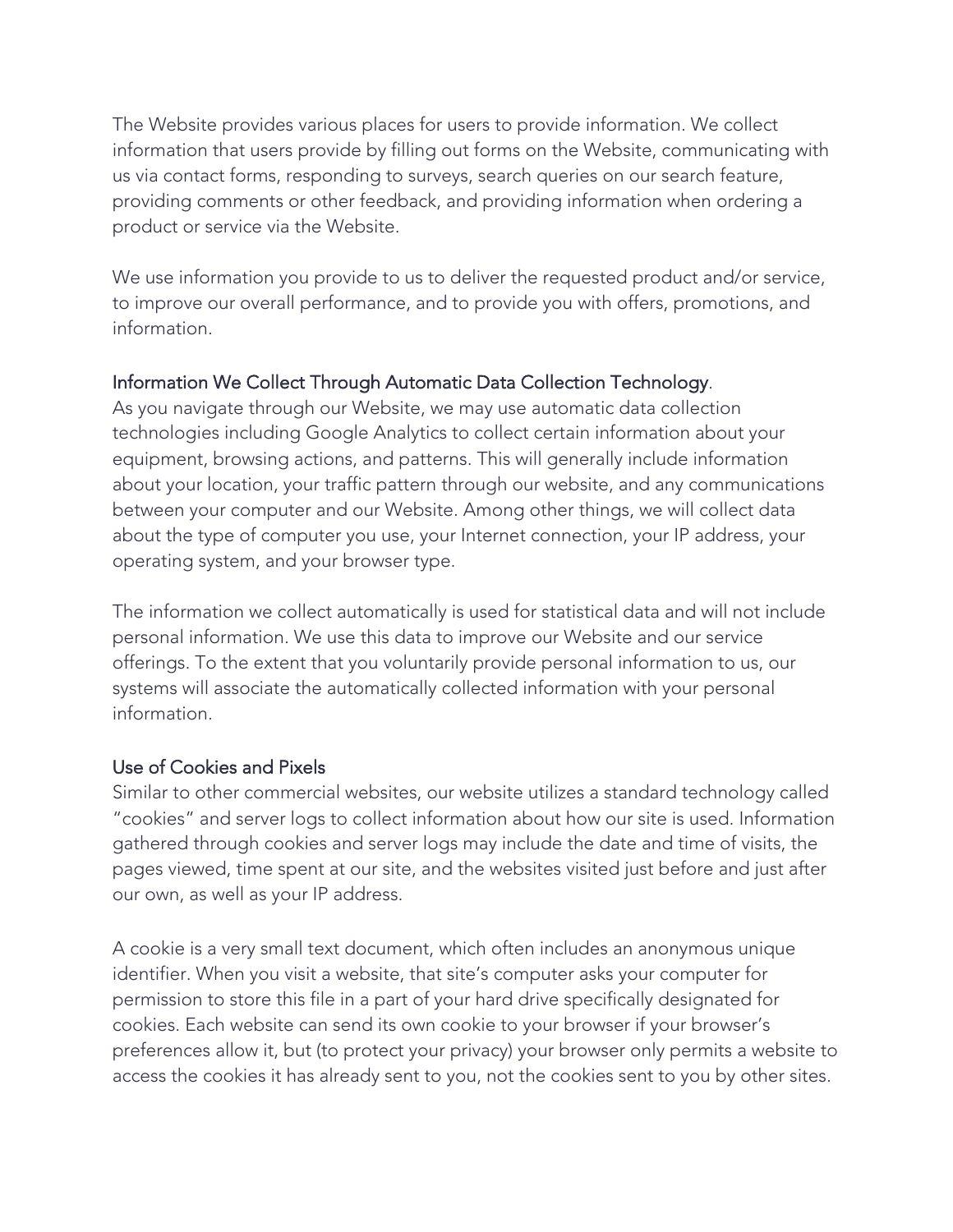The Website provides various places for users to provide information. We collect information that users provide by filling out forms on the Website, communicating with us via contact forms, responding to surveys, search queries on our search feature, providing comments or other feedback, and providing information when ordering a product or service via the Website.

We use information you provide to us to deliver the requested product and/or service, to improve our overall performance, and to provide you with offers, promotions, and information.

## Information We Collect Through Automatic Data Collection Technology.

As you navigate through our Website, we may use automatic data collection technologies including Google Analytics to collect certain information about your equipment, browsing actions, and patterns. This will generally include information about your location, your traffic pattern through our website, and any communications between your computer and our Website. Among other things, we will collect data about the type of computer you use, your Internet connection, your IP address, your operating system, and your browser type.

The information we collect automatically is used for statistical data and will not include personal information. We use this data to improve our Website and our service offerings. To the extent that you voluntarily provide personal information to us, our systems will associate the automatically collected information with your personal information.

#### Use of Cookies and Pixels

Similar to other commercial websites, our website utilizes a standard technology called "cookies" and server logs to collect information about how our site is used. Information gathered through cookies and server logs may include the date and time of visits, the pages viewed, time spent at our site, and the websites visited just before and just after our own, as well as your IP address.

A cookie is a very small text document, which often includes an anonymous unique identifier. When you visit a website, that site's computer asks your computer for permission to store this file in a part of your hard drive specifically designated for cookies. Each website can send its own cookie to your browser if your browser's preferences allow it, but (to protect your privacy) your browser only permits a website to access the cookies it has already sent to you, not the cookies sent to you by other sites.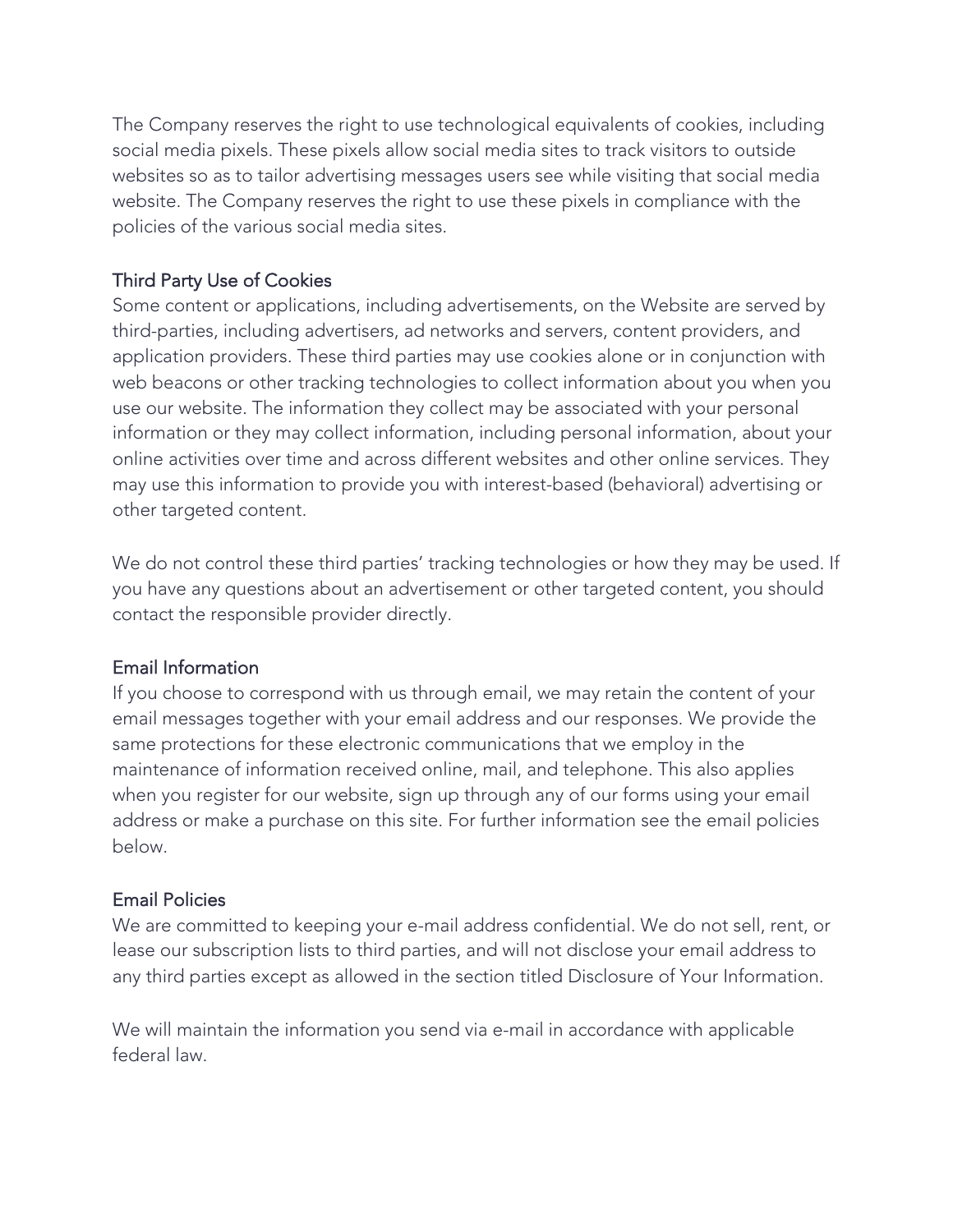The Company reserves the right to use technological equivalents of cookies, including social media pixels. These pixels allow social media sites to track visitors to outside websites so as to tailor advertising messages users see while visiting that social media website. The Company reserves the right to use these pixels in compliance with the policies of the various social media sites.

## Third Party Use of Cookies

Some content or applications, including advertisements, on the Website are served by third-parties, including advertisers, ad networks and servers, content providers, and application providers. These third parties may use cookies alone or in conjunction with web beacons or other tracking technologies to collect information about you when you use our website. The information they collect may be associated with your personal information or they may collect information, including personal information, about your online activities over time and across different websites and other online services. They may use this information to provide you with interest-based (behavioral) advertising or other targeted content.

We do not control these third parties' tracking technologies or how they may be used. If you have any questions about an advertisement or other targeted content, you should contact the responsible provider directly.

#### Email Information

If you choose to correspond with us through email, we may retain the content of your email messages together with your email address and our responses. We provide the same protections for these electronic communications that we employ in the maintenance of information received online, mail, and telephone. This also applies when you register for our website, sign up through any of our forms using your email address or make a purchase on this site. For further information see the email policies below.

#### Email Policies

We are committed to keeping your e-mail address confidential. We do not sell, rent, or lease our subscription lists to third parties, and will not disclose your email address to any third parties except as allowed in the section titled Disclosure of Your Information.

We will maintain the information you send via e-mail in accordance with applicable federal law.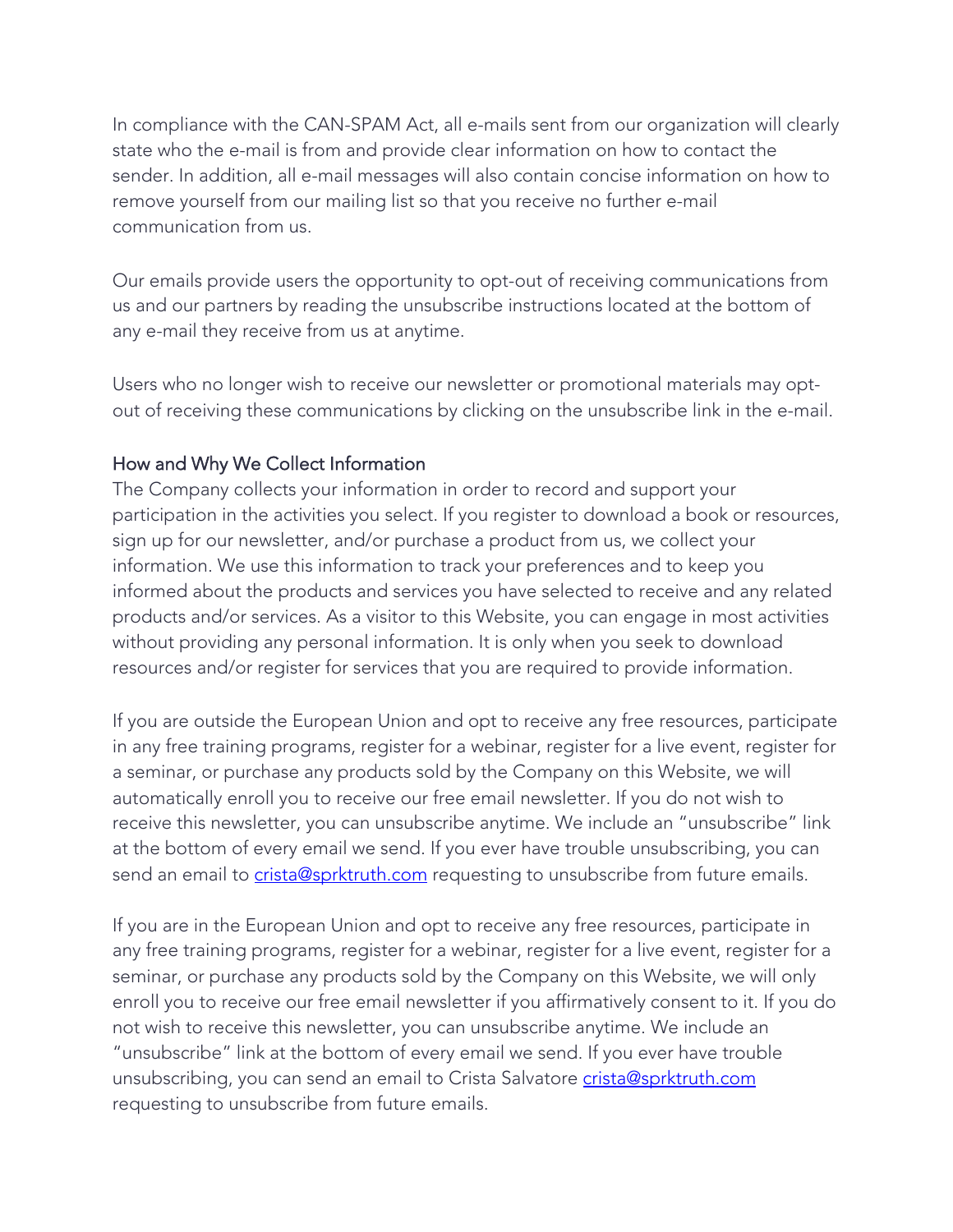In compliance with the CAN-SPAM Act, all e-mails sent from our organization will clearly state who the e-mail is from and provide clear information on how to contact the sender. In addition, all e-mail messages will also contain concise information on how to remove yourself from our mailing list so that you receive no further e-mail communication from us.

Our emails provide users the opportunity to opt-out of receiving communications from us and our partners by reading the unsubscribe instructions located at the bottom of any e-mail they receive from us at anytime.

Users who no longer wish to receive our newsletter or promotional materials may optout of receiving these communications by clicking on the unsubscribe link in the e-mail.

## How and Why We Collect Information

The Company collects your information in order to record and support your participation in the activities you select. If you register to download a book or resources, sign up for our newsletter, and/or purchase a product from us, we collect your information. We use this information to track your preferences and to keep you informed about the products and services you have selected to receive and any related products and/or services. As a visitor to this Website, you can engage in most activities without providing any personal information. It is only when you seek to download resources and/or register for services that you are required to provide information.

If you are outside the European Union and opt to receive any free resources, participate in any free training programs, register for a webinar, register for a live event, register for a seminar, or purchase any products sold by the Company on this Website, we will automatically enroll you to receive our free email newsletter. If you do not wish to receive this newsletter, you can unsubscribe anytime. We include an "unsubscribe" link at the bottom of every email we send. If you ever have trouble unsubscribing, you can send an email to crista@sprktruth.com requesting to unsubscribe from future emails.

If you are in the European Union and opt to receive any free resources, participate in any free training programs, register for a webinar, register for a live event, register for a seminar, or purchase any products sold by the Company on this Website, we will only enroll you to receive our free email newsletter if you affirmatively consent to it. If you do not wish to receive this newsletter, you can unsubscribe anytime. We include an "unsubscribe" link at the bottom of every email we send. If you ever have trouble unsubscribing, you can send an email to Crista Salvatore crista@sprktruth.com requesting to unsubscribe from future emails.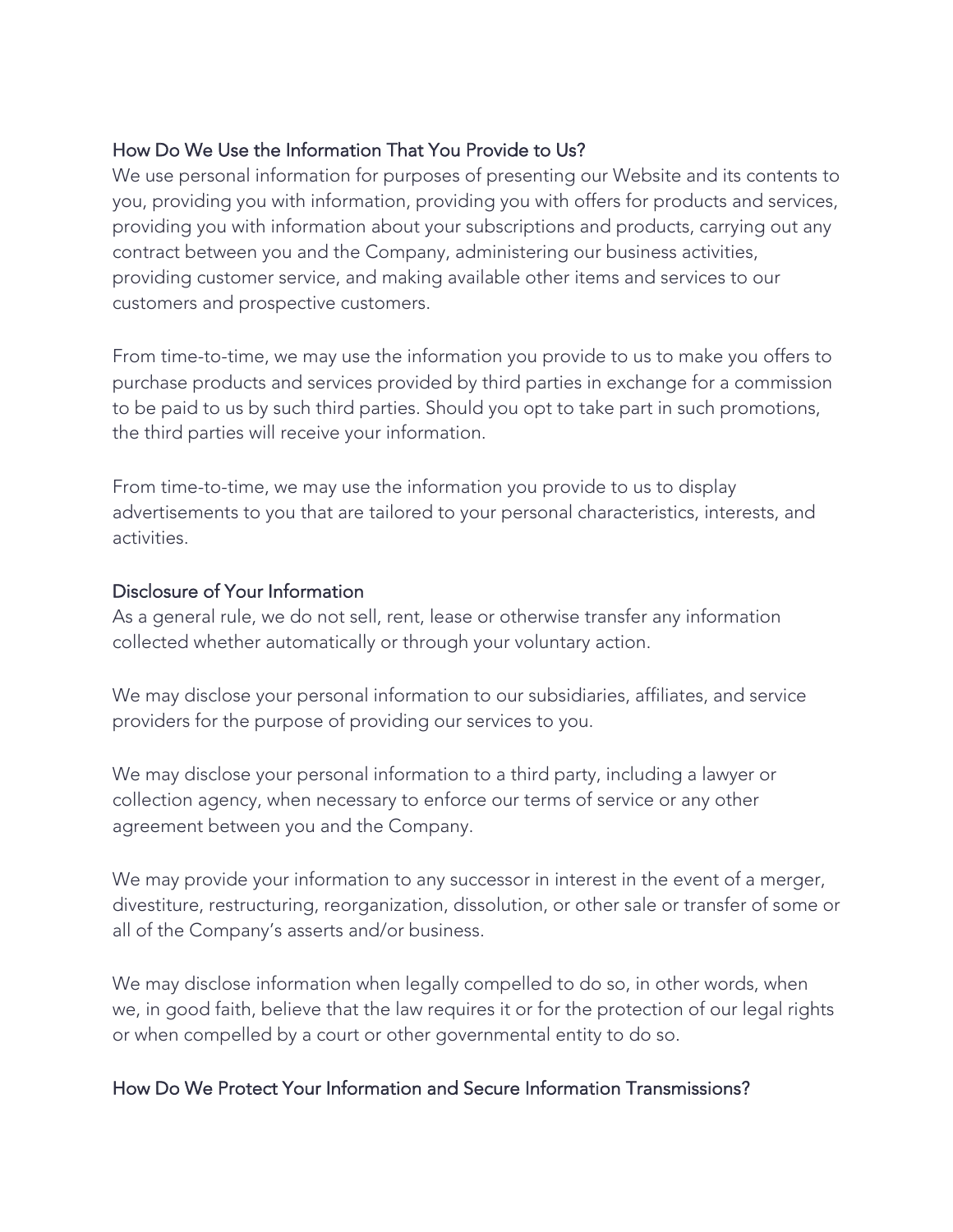## How Do We Use the Information That You Provide to Us?

We use personal information for purposes of presenting our Website and its contents to you, providing you with information, providing you with offers for products and services, providing you with information about your subscriptions and products, carrying out any contract between you and the Company, administering our business activities, providing customer service, and making available other items and services to our customers and prospective customers.

From time-to-time, we may use the information you provide to us to make you offers to purchase products and services provided by third parties in exchange for a commission to be paid to us by such third parties. Should you opt to take part in such promotions, the third parties will receive your information.

From time-to-time, we may use the information you provide to us to display advertisements to you that are tailored to your personal characteristics, interests, and activities.

#### Disclosure of Your Information

As a general rule, we do not sell, rent, lease or otherwise transfer any information collected whether automatically or through your voluntary action.

We may disclose your personal information to our subsidiaries, affiliates, and service providers for the purpose of providing our services to you.

We may disclose your personal information to a third party, including a lawyer or collection agency, when necessary to enforce our terms of service or any other agreement between you and the Company.

We may provide your information to any successor in interest in the event of a merger, divestiture, restructuring, reorganization, dissolution, or other sale or transfer of some or all of the Company's asserts and/or business.

We may disclose information when legally compelled to do so, in other words, when we, in good faith, believe that the law requires it or for the protection of our legal rights or when compelled by a court or other governmental entity to do so.

#### How Do We Protect Your Information and Secure Information Transmissions?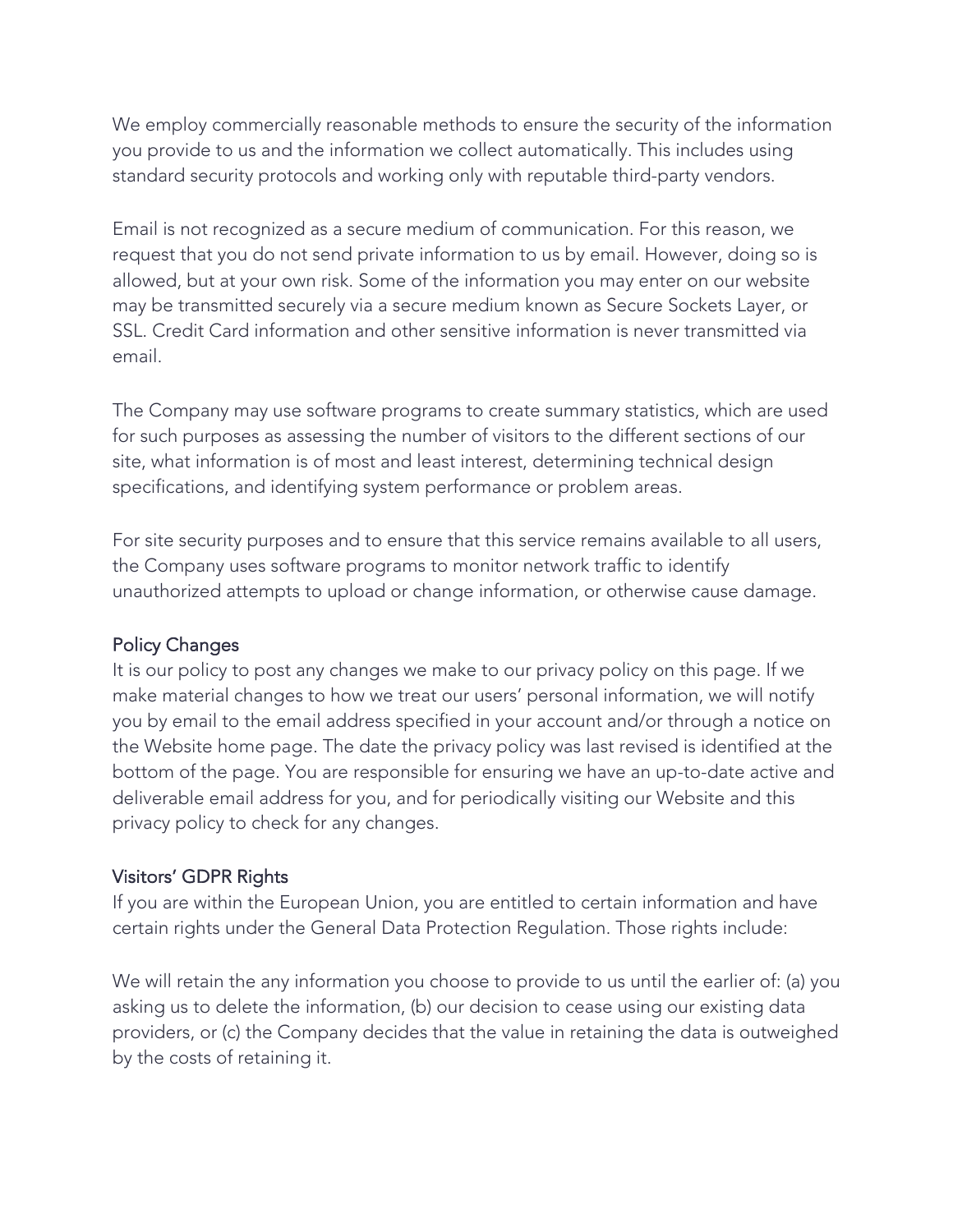We employ commercially reasonable methods to ensure the security of the information you provide to us and the information we collect automatically. This includes using standard security protocols and working only with reputable third-party vendors.

Email is not recognized as a secure medium of communication. For this reason, we request that you do not send private information to us by email. However, doing so is allowed, but at your own risk. Some of the information you may enter on our website may be transmitted securely via a secure medium known as Secure Sockets Layer, or SSL. Credit Card information and other sensitive information is never transmitted via email.

The Company may use software programs to create summary statistics, which are used for such purposes as assessing the number of visitors to the different sections of our site, what information is of most and least interest, determining technical design specifications, and identifying system performance or problem areas.

For site security purposes and to ensure that this service remains available to all users, the Company uses software programs to monitor network traffic to identify unauthorized attempts to upload or change information, or otherwise cause damage.

#### Policy Changes

It is our policy to post any changes we make to our privacy policy on this page. If we make material changes to how we treat our users' personal information, we will notify you by email to the email address specified in your account and/or through a notice on the Website home page. The date the privacy policy was last revised is identified at the bottom of the page. You are responsible for ensuring we have an up-to-date active and deliverable email address for you, and for periodically visiting our Website and this privacy policy to check for any changes.

#### Visitors' GDPR Rights

If you are within the European Union, you are entitled to certain information and have certain rights under the General Data Protection Regulation. Those rights include:

We will retain the any information you choose to provide to us until the earlier of: (a) you asking us to delete the information, (b) our decision to cease using our existing data providers, or (c) the Company decides that the value in retaining the data is outweighed by the costs of retaining it.